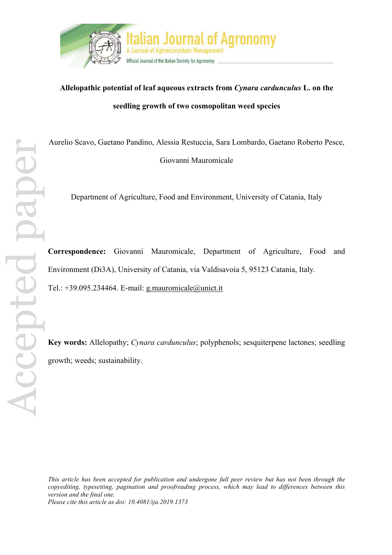

# **Allelopathic potential of leaf aqueous extracts from** *Cynara cardunculus* **L. on the seedling growth of two cosmopolitan weed species**

Aurelio Scavo, Gaetano Pandino, Alessia Restuccia, Sara Lombardo, Gaetano Roberto Pesce, Giovanni Mauromicale

Department of Agriculture, Food and Environment, University of Catania, Italy

**Correspondence:** Giovanni Mauromicale, Department of Agriculture, Food and Environment (Di3A), University of Catania, via Valdisavoia 5, 95123 Catania, Italy. Tel.:  $+39.095.234464$ . E-mail: g.mauromicale@unict.it

**Key words:** Allelopathy; *Cynara cardunculus*; polyphenols; sesquiterpene lactones; seedling growth; weeds; sustainability.

*This article has been accepted for publication and undergone full peer review but has not been through the copyediting, typesetting, pagination and proofreading process, which may lead to differences between this version and the final one. Please cite this article as doi: 10.4081/ija.2019.1373*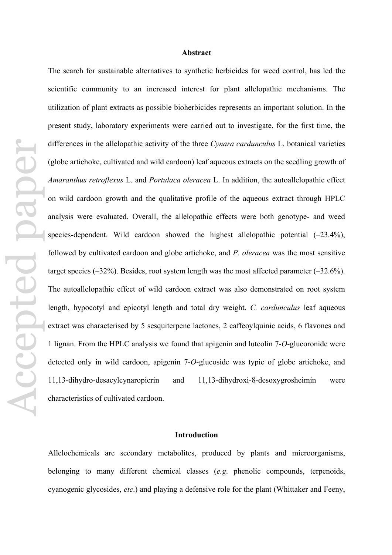## **Abstract**

Accepted paperAccepted pape

The search for sustainable alternatives to synthetic herbicides for weed control, has led the scientific community to an increased interest for plant allelopathic mechanisms. The utilization of plant extracts as possible bioherbicides represents an important solution. In the present study, laboratory experiments were carried out to investigate, for the first time, the differences in the allelopathic activity of the three *Cynara cardunculus* L. botanical varieties (globe artichoke, cultivated and wild cardoon) leaf aqueous extracts on the seedling growth of *Amaranthus retroflexus* L. and *Portulaca oleracea* L. In addition, the autoallelopathic effect on wild cardoon growth and the qualitative profile of the aqueous extract through HPLC analysis were evaluated. Overall, the allelopathic effects were both genotype- and weed species-dependent. Wild cardoon showed the highest allelopathic potential  $(-23.4\%)$ , followed by cultivated cardoon and globe artichoke, and *P. oleracea* was the most sensitive target species  $(-32\%)$ . Besides, root system length was the most affected parameter  $(-32.6\%)$ . The autoallelopathic effect of wild cardoon extract was also demonstrated on root system length, hypocotyl and epicotyl length and total dry weight. *C. cardunculus* leaf aqueous extract was characterised by 5 sesquiterpene lactones, 2 caffeoylquinic acids, 6 flavones and 1 lignan. From the HPLC analysis we found that apigenin and luteolin 7-*O*-glucoronide were detected only in wild cardoon, apigenin 7-*O*-glucoside was typic of globe artichoke, and 11,13-dihydro-desacylcynaropicrin and 11,13-dihydroxi-8-desoxygrosheimin were characteristics of cultivated cardoon.

#### **Introduction**

Allelochemicals are secondary metabolites, produced by plants and microorganisms, belonging to many different chemical classes (*e.g*. phenolic compounds, terpenoids, cyanogenic glycosides, *etc*.) and playing a defensive role for the plant (Whittaker and Feeny,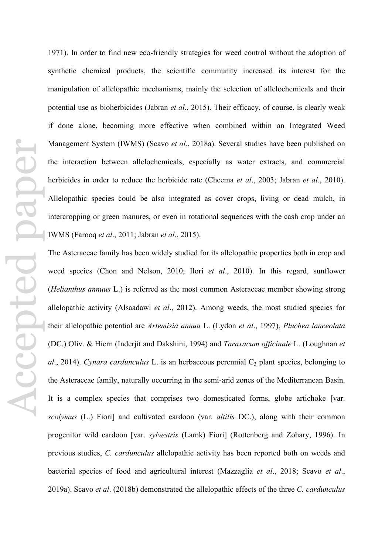1971). In order to find new eco-friendly strategies for weed control without the adoption of synthetic chemical products, the scientific community increased its interest for the manipulation of allelopathic mechanisms, mainly the selection of allelochemicals and their potential use as bioherbicides (Jabran *et al*., 2015). Their efficacy, of course, is clearly weak if done alone, becoming more effective when combined within an Integrated Weed Management System (IWMS) (Scavo *et al*., 2018a). Several studies have been published on the interaction between allelochemicals, especially as water extracts, and commercial herbicides in order to reduce the herbicide rate (Cheema *et al*., 2003; Jabran *et al*., 2010). Allelopathic species could be also integrated as cover crops, living or dead mulch, in intercropping or green manures, or even in rotational sequences with the cash crop under an IWMS (Farooq *et al*., 2011; Jabran *et al*., 2015).

The Asteraceae family has been widely studied for its allelopathic properties both in crop and weed species (Chon and Nelson, 2010; Ilori *et al*., 2010). In this regard, sunflower (*Helianthus annuus* L.) is referred as the most common Asteraceae member showing strong allelopathic activity (Alsaadawi *et al*., 2012). Among weeds, the most studied species for their allelopathic potential are *Artemisia annua* L. (Lydon *et al*., 1997), *Pluchea lanceolata* (DC.) Oliv. & Hiern (Inderjit and Dakshini, 1994) and *Taraxacum officinale* L. (Loughnan *et al.*, 2014). *Cynara cardunculus* L. is an herbaceous perennial C<sub>3</sub> plant species, belonging to the Asteraceae family, naturally occurring in the semi-arid zones of the Mediterranean Basin. It is a complex species that comprises two domesticated forms, globe artichoke [var. *scolymus* (L.) Fiori] and cultivated cardoon (var. *altilis* DC.), along with their common progenitor wild cardoon [var. *sylvestris* (Lamk) Fiori] (Rottenberg and Zohary, 1996). In previous studies, *C. cardunculus* allelopathic activity has been reported both on weeds and bacterial species of food and agricultural interest (Mazzaglia *et al*., 2018; Scavo *et al*., 2019a). Scavo *et al*. (2018b) demonstrated the allelopathic effects of the three *C. cardunculus*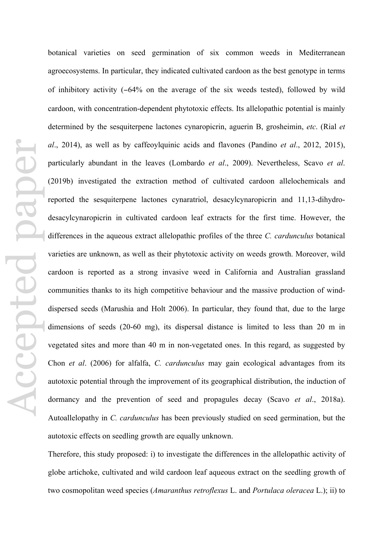botanical varieties on seed germination of six common weeds in Mediterranean agroecosystems. In particular, they indicated cultivated cardoon as the best genotype in terms of inhibitory activity (−64% on the average of the six weeds tested), followed by wild cardoon, with concentration-dependent phytotoxic effects. Its allelopathic potential is mainly determined by the sesquiterpene lactones cynaropicrin, aguerin B, grosheimin, *etc*. (Rial *et al*., 2014), as well as by caffeoylquinic acids and flavones (Pandino *et al*., 2012, 2015), particularly abundant in the leaves (Lombardo *et al*., 2009). Nevertheless, Scavo *et al*. (2019b) investigated the extraction method of cultivated cardoon allelochemicals and reported the sesquiterpene lactones cynaratriol, desacylcynaropicrin and 11,13-dihydrodesacylcynaropicrin in cultivated cardoon leaf extracts for the first time. However, the differences in the aqueous extract allelopathic profiles of the three *C. cardunculus* botanical varieties are unknown, as well as their phytotoxic activity on weeds growth. Moreover, wild cardoon is reported as a strong invasive weed in California and Australian grassland communities thanks to its high competitive behaviour and the massive production of winddispersed seeds (Marushia and Holt 2006). In particular, they found that, due to the large dimensions of seeds (20-60 mg), its dispersal distance is limited to less than 20 m in vegetated sites and more than 40 m in non-vegetated ones. In this regard, as suggested by Chon *et al*. (2006) for alfalfa, *C. cardunculus* may gain ecological advantages from its autotoxic potential through the improvement of its geographical distribution, the induction of dormancy and the prevention of seed and propagules decay (Scavo *et al*., 2018a). Autoallelopathy in *C. cardunculus* has been previously studied on seed germination, but the autotoxic effects on seedling growth are equally unknown.

Therefore, this study proposed: i) to investigate the differences in the allelopathic activity of globe artichoke, cultivated and wild cardoon leaf aqueous extract on the seedling growth of two cosmopolitan weed species (*Amaranthus retroflexus* L. and *Portulaca oleracea* L.); ii) to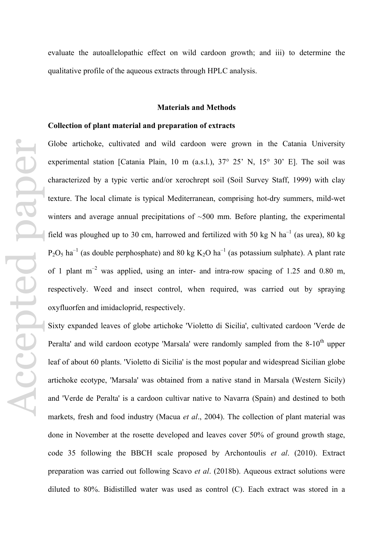evaluate the autoallelopathic effect on wild cardoon growth; and iii) to determine the qualitative profile of the aqueous extracts through HPLC analysis.

## **Materials and Methods**

## **Collection of plant material and preparation of extracts**

Globe artichoke, cultivated and wild cardoon were grown in the Catania University experimental station [Catania Plain, 10 m (a.s.l.), 37° 25' N, 15° 30' E]. The soil was characterized by a typic vertic and/or xerochrept soil (Soil Survey Staff, 1999) with clay texture. The local climate is typical Mediterranean, comprising hot-dry summers, mild-wet winters and average annual precipitations of  $~500$  mm. Before planting, the experimental field was ploughed up to 30 cm, harrowed and fertilized with 50 kg N ha<sup>-1</sup> (as urea), 80 kg  $P_2O_5$  ha<sup>-1</sup> (as double perphosphate) and 80 kg K<sub>2</sub>O ha<sup>-1</sup> (as potassium sulphate). A plant rate of 1 plant  $m^{-2}$  was applied, using an inter- and intra-row spacing of 1.25 and 0.80 m, respectively. Weed and insect control, when required, was carried out by spraying oxyfluorfen and imidacloprid, respectively.

Sixty expanded leaves of globe artichoke 'Violetto di Sicilia', cultivated cardoon 'Verde de Peralta' and wild cardoon ecotype 'Marsala' were randomly sampled from the  $8-10<sup>th</sup>$  upper leaf of about 60 plants. 'Violetto di Sicilia' is the most popular and widespread Sicilian globe artichoke ecotype, 'Marsala' was obtained from a native stand in Marsala (Western Sicily) and 'Verde de Peralta' is a cardoon cultivar native to Navarra (Spain) and destined to both markets, fresh and food industry (Macua *et al*., 2004). The collection of plant material was done in November at the rosette developed and leaves cover 50% of ground growth stage, code 35 following the BBCH scale proposed by Archontoulis *et al*. (2010). Extract preparation was carried out following Scavo *et al*. (2018b). Aqueous extract solutions were diluted to 80%. Bidistilled water was used as control (C). Each extract was stored in a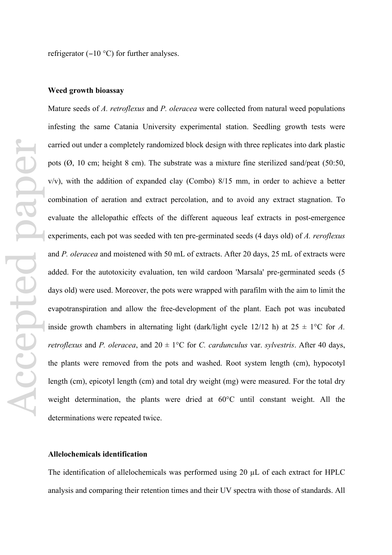refrigerator (−10 °C) for further analyses.

#### **Weed growth bioassay**

Mature seeds of *A. retroflexus* and *P. oleracea* were collected from natural weed populations infesting the same Catania University experimental station. Seedling growth tests were carried out under a completely randomized block design with three replicates into dark plastic pots (Ø, 10 cm; height 8 cm). The substrate was a mixture fine sterilized sand/peat (50:50, v/v), with the addition of expanded clay (Combo) 8/15 mm, in order to achieve a better combination of aeration and extract percolation, and to avoid any extract stagnation. To evaluate the allelopathic effects of the different aqueous leaf extracts in post-emergence experiments, each pot was seeded with ten pre-germinated seeds (4 days old) of *A. reroflexus* and *P. oleracea* and moistened with 50 mL of extracts. After 20 days, 25 mL of extracts were added. For the autotoxicity evaluation, ten wild cardoon 'Marsala' pre-germinated seeds (5 days old) were used. Moreover, the pots were wrapped with parafilm with the aim to limit the evapotranspiration and allow the free-development of the plant. Each pot was incubated inside growth chambers in alternating light (dark/light cycle 12/12 h) at  $25 \pm 1$ °C for *A*. *retroflexus* and *P. oleracea*, and  $20 \pm 1$ °C for *C. cardunculus* var. *sylvestris*. After 40 days, the plants were removed from the pots and washed. Root system length (cm), hypocotyl length (cm), epicotyl length (cm) and total dry weight (mg) were measured. For the total dry weight determination, the plants were dried at 60°C until constant weight. All the determinations were repeated twice.

# **Allelochemicals identification**

The identification of allelochemicals was performed using 20 µL of each extract for HPLC analysis and comparing their retention times and their UV spectra with those of standards. All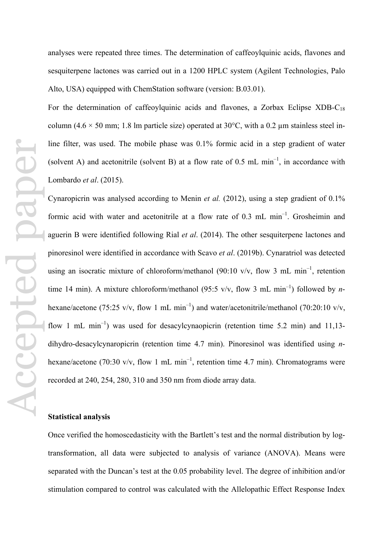analyses were repeated three times. The determination of caffeoylquinic acids, flavones and sesquiterpene lactones was carried out in a 1200 HPLC system (Agilent Technologies, Palo Alto, USA) equipped with ChemStation software (version: B.03.01).

For the determination of caffeoylquinic acids and flavones, a Zorbax Eclipse XDB- $C_{18}$ column (4.6  $\times$  50 mm; 1.8 lm particle size) operated at 30°C, with a 0.2 µm stainless steel inline filter, was used. The mobile phase was 0.1% formic acid in a step gradient of water (solvent A) and acetonitrile (solvent B) at a flow rate of  $0.5$  mL min<sup>-1</sup>, in accordance with Lombardo *et al*. (2015).

Cynaropicrin was analysed according to Menin *et al.* (2012), using a step gradient of 0.1% formic acid with water and acetonitrile at a flow rate of  $0.3$  mL min<sup>-1</sup>. Grosheimin and aguerin B were identified following Rial *et al*. (2014). The other sesquiterpene lactones and pinoresinol were identified in accordance with Scavo *et al*. (2019b). Cynaratriol was detected using an isocratic mixture of chloroform/methanol (90:10 v/v, flow 3 mL min<sup>-1</sup>, retention time 14 min). A mixture chloroform/methanol (95:5 v/v, flow 3 mL min<sup>-1</sup>) followed by *n*hexane/acetone (75:25 v/v, flow 1 mL min<sup>-1</sup>) and water/acetonitrile/methanol (70:20:10 v/v, flow 1 mL min<sup>-1</sup>) was used for desacylcynaopicrin (retention time 5.2 min) and 11,13dihydro-desacylcynaropicrin (retention time 4.7 min). Pinoresinol was identified using *n*hexane/acetone (70:30 v/v, flow 1 mL min<sup>-1</sup>, retention time 4.7 min). Chromatograms were recorded at 240, 254, 280, 310 and 350 nm from diode array data.

# **Statistical analysis**

Once verified the homoscedasticity with the Bartlett's test and the normal distribution by logtransformation, all data were subjected to analysis of variance (ANOVA). Means were separated with the Duncan's test at the 0.05 probability level. The degree of inhibition and/or stimulation compared to control was calculated with the Allelopathic Effect Response Index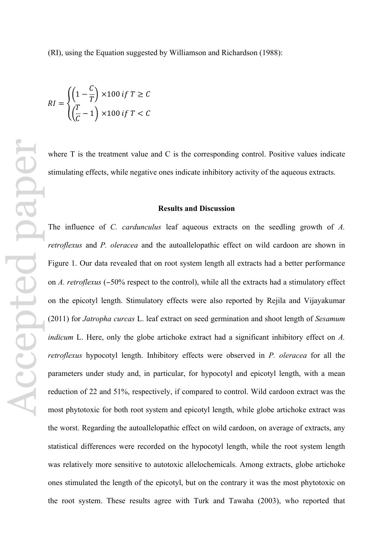(RI), using the Equation suggested by Williamson and Richardson (1988):

$$
RI = \begin{cases} \left(1 - \frac{C}{T}\right) \times 100 \text{ if } T \ge C\\ \left(\frac{T}{C} - 1\right) \times 100 \text{ if } T < C \end{cases}
$$

where T is the treatment value and C is the corresponding control. Positive values indicate stimulating effects, while negative ones indicate inhibitory activity of the aqueous extracts.

## **Results and Discussion**

The influence of *C. cardunculus* leaf aqueous extracts on the seedling growth of *A. retroflexus* and *P. oleracea* and the autoallelopathic effect on wild cardoon are shown in Figure 1. Our data revealed that on root system length all extracts had a better performance on *A. retroflexus* (−50% respect to the control), while all the extracts had a stimulatory effect on the epicotyl length. Stimulatory effects were also reported by Rejila and Vijayakumar (2011) for *Jatropha curcas* L. leaf extract on seed germination and shoot length of *Sesamum indicum* L. Here, only the globe artichoke extract had a significant inhibitory effect on *A. retroflexus* hypocotyl length. Inhibitory effects were observed in *P. oleracea* for all the parameters under study and, in particular, for hypocotyl and epicotyl length, with a mean reduction of 22 and 51%, respectively, if compared to control. Wild cardoon extract was the most phytotoxic for both root system and epicotyl length, while globe artichoke extract was the worst. Regarding the autoallelopathic effect on wild cardoon, on average of extracts, any statistical differences were recorded on the hypocotyl length, while the root system length was relatively more sensitive to autotoxic allelochemicals. Among extracts, globe artichoke ones stimulated the length of the epicotyl, but on the contrary it was the most phytotoxic on the root system. These results agree with Turk and Tawaha (2003), who reported that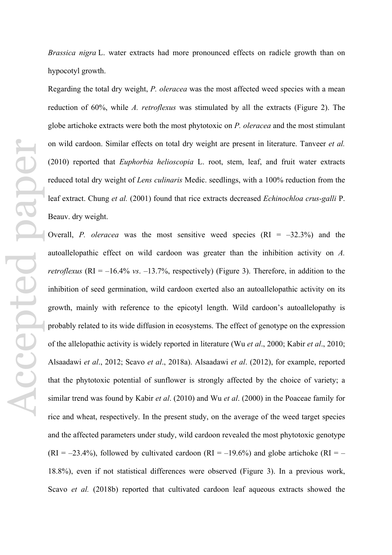*Brassica nigra* L. water extracts had more pronounced effects on radicle growth than on hypocotyl growth.

Regarding the total dry weight, *P. oleracea* was the most affected weed species with a mean reduction of 60%, while *A. retroflexus* was stimulated by all the extracts (Figure 2). The globe artichoke extracts were both the most phytotoxic on *P. oleracea* and the most stimulant on wild cardoon. Similar effects on total dry weight are present in literature. Tanveer *et al.* (2010) reported that *Euphorbia helioscopia* L. root, stem, leaf, and fruit water extracts reduced total dry weight of *Lens culinaris* Medic. seedlings, with a 100% reduction from the leaf extract. Chung *et al.* (2001) found that rice extracts decreased *Echinochloa crus-galli* P. Beauv. dry weight.

Overall, *P. oleracea* was the most sensitive weed species  $(RI = -32.3\%)$  and the autoallelopathic effect on wild cardoon was greater than the inhibition activity on *A. retroflexus* ( $RI = -16.4\%$  *vs.*  $-13.7\%$ , respectively) (Figure 3). Therefore, in addition to the inhibition of seed germination, wild cardoon exerted also an autoallelopathic activity on its growth, mainly with reference to the epicotyl length. Wild cardoon's autoallelopathy is probably related to its wide diffusion in ecosystems. The effect of genotype on the expression of the allelopathic activity is widely reported in literature (Wu *et al*., 2000; Kabir *et al*., 2010; Alsaadawi *et al*., 2012; Scavo *et al*., 2018a). Alsaadawi *et al*. (2012), for example, reported that the phytotoxic potential of sunflower is strongly affected by the choice of variety; a similar trend was found by Kabir *et al*. (2010) and Wu *et al*. (2000) in the Poaceae family for rice and wheat, respectively. In the present study, on the average of the weed target species and the affected parameters under study, wild cardoon revealed the most phytotoxic genotype  $(RI = -23.4\%)$ , followed by cultivated cardoon  $(RI = -19.6\%)$  and globe artichoke  $(RI = -19.6\%)$ 18.8%), even if not statistical differences were observed (Figure 3). In a previous work, Scavo *et al.* (2018b) reported that cultivated cardoon leaf aqueous extracts showed the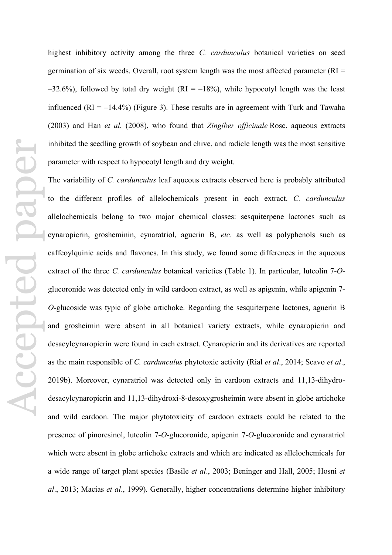highest inhibitory activity among the three *C. cardunculus* botanical varieties on seed germination of six weeds. Overall, root system length was the most affected parameter ( $RI =$  $-32.6\%$ ), followed by total dry weight (RI = -18%), while hypocotyl length was the least influenced (RI =  $-14.4\%$ ) (Figure 3). These results are in agreement with Turk and Tawaha (2003) and Han *et al.* (2008), who found that *Zingiber officinale* Rosc. aqueous extracts inhibited the seedling growth of soybean and chive, and radicle length was the most sensitive parameter with respect to hypocotyl length and dry weight.

The variability of *C. cardunculus* leaf aqueous extracts observed here is probably attributed to the different profiles of allelochemicals present in each extract. *C. cardunculus* allelochemicals belong to two major chemical classes: sesquiterpene lactones such as cynaropicrin, grosheminin, cynaratriol, aguerin B, *etc*. as well as polyphenols such as caffeoylquinic acids and flavones. In this study, we found some differences in the aqueous extract of the three *C. cardunculus* botanical varieties (Table 1). In particular, luteolin 7-*O*glucoronide was detected only in wild cardoon extract, as well as apigenin, while apigenin 7- *O*-glucoside was typic of globe artichoke. Regarding the sesquiterpene lactones, aguerin B and grosheimin were absent in all botanical variety extracts, while cynaropicrin and desacylcynaropicrin were found in each extract. Cynaropicrin and its derivatives are reported as the main responsible of *C. cardunculus* phytotoxic activity (Rial *et al*., 2014; Scavo *et al*., 2019b). Moreover, cynaratriol was detected only in cardoon extracts and 11,13-dihydrodesacylcynaropicrin and 11,13-dihydroxi-8-desoxygrosheimin were absent in globe artichoke and wild cardoon. The major phytotoxicity of cardoon extracts could be related to the presence of pinoresinol, luteolin 7-*O*-glucoronide, apigenin 7-*O*-glucoronide and cynaratriol which were absent in globe artichoke extracts and which are indicated as allelochemicals for a wide range of target plant species (Basile *et al*., 2003; Beninger and Hall, 2005; Hosni *et al*., 2013; Macias *et al*., 1999). Generally, higher concentrations determine higher inhibitory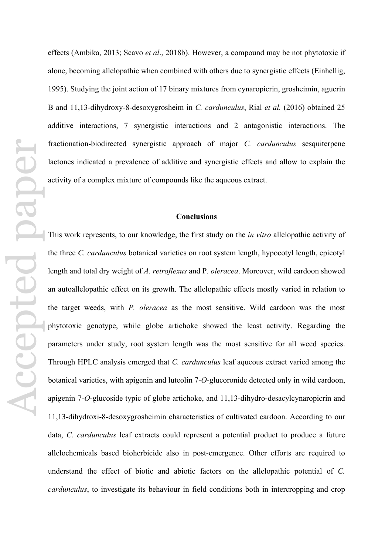effects (Ambika, 2013; Scavo *et al*., 2018b). However, a compound may be not phytotoxic if alone, becoming allelopathic when combined with others due to synergistic effects (Einhellig, 1995). Studying the joint action of 17 binary mixtures from cynaropicrin, grosheimin, aguerin B and 11,13-dihydroxy-8-desoxygrosheim in *C. cardunculus*, Rial *et al.* (2016) obtained 25 additive interactions, 7 synergistic interactions and 2 antagonistic interactions. The fractionation-biodirected synergistic approach of major *C. cardunculus* sesquiterpene lactones indicated a prevalence of additive and synergistic effects and allow to explain the activity of a complex mixture of compounds like the aqueous extract.

## **Conclusions**

This work represents, to our knowledge, the first study on the *in vitro* allelopathic activity of the three *C. cardunculus* botanical varieties on root system length, hypocotyl length, epicotyl length and total dry weight of *A. retroflexus* and P*. oleracea*. Moreover, wild cardoon showed an autoallelopathic effect on its growth. The allelopathic effects mostly varied in relation to the target weeds, with *P. oleracea* as the most sensitive. Wild cardoon was the most phytotoxic genotype, while globe artichoke showed the least activity. Regarding the parameters under study, root system length was the most sensitive for all weed species. Through HPLC analysis emerged that *C. cardunculus* leaf aqueous extract varied among the botanical varieties, with apigenin and luteolin 7-*O*-glucoronide detected only in wild cardoon, apigenin 7-*O*-glucoside typic of globe artichoke, and 11,13-dihydro-desacylcynaropicrin and 11,13-dihydroxi-8-desoxygrosheimin characteristics of cultivated cardoon. According to our data, *C. cardunculus* leaf extracts could represent a potential product to produce a future allelochemicals based bioherbicide also in post-emergence. Other efforts are required to understand the effect of biotic and abiotic factors on the allelopathic potential of *C. cardunculus*, to investigate its behaviour in field conditions both in intercropping and crop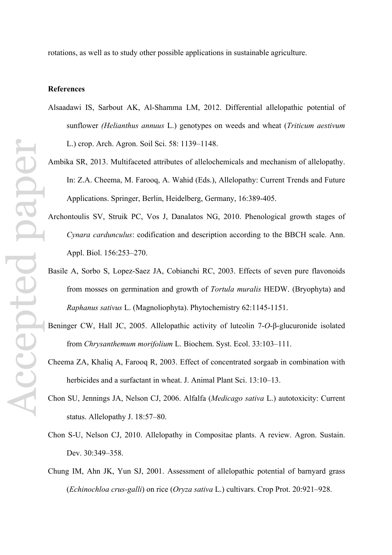## **References**

- Alsaadawi IS, Sarbout AK, Al-Shamma LM, 2012. Differential allelopathic potential of sunflower *(Helianthus annuus* L.) genotypes on weeds and wheat (*Triticum aestivum* L.) crop. Arch. Agron. Soil Sci. 58: 1139–1148.
- Ambika SR, 2013. Multifaceted attributes of allelochemicals and mechanism of allelopathy. In: Z.A. Cheema, M. Farooq, A. Wahid (Eds.), Allelopathy: Current Trends and Future Applications. Springer, Berlin, Heidelberg, Germany, 16:389-405.
- Archontoulis SV, Struik PC, Vos J, Danalatos NG, 2010. Phenological growth stages of *Cynara cardunculus*: codification and description according to the BBCH scale. Ann. Appl. Biol. 156:253–270.
- Basile A, Sorbo S, Lopez-Saez JA, Cobianchi RC, 2003. Effects of seven pure flavonoids from mosses on germination and growth of *Tortula muralis* HEDW. (Bryophyta) and *Raphanus sativus* L. (Magnoliophyta). Phytochemistry 62:1145-1151.
- Beninger CW, Hall JC, 2005. Allelopathic activity of luteolin 7-*O*-β-glucuronide isolated from *Chrysanthemum morifolium* L. Biochem. Syst. Ecol. 33:103–111.
- Cheema ZA, Khaliq A, Farooq R, 2003. Effect of concentrated sorgaab in combination with herbicides and a surfactant in wheat. J. Animal Plant Sci. 13:10–13.
- Chon SU, Jennings JA, Nelson CJ, 2006. Alfalfa (*Medicago sativa* L.) autotoxicity: Current status. Allelopathy J. 18:57–80.
- Chon S-U, Nelson CJ, 2010. Allelopathy in Compositae plants. A review. Agron. Sustain. Dev. 30:349–358.
- Chung IM, Ahn JK, Yun SJ, 2001. Assessment of allelopathic potential of barnyard grass (*Echinochloa crus-galli*) on rice (*Oryza sativa* L.) cultivars. Crop Prot. 20:921–928.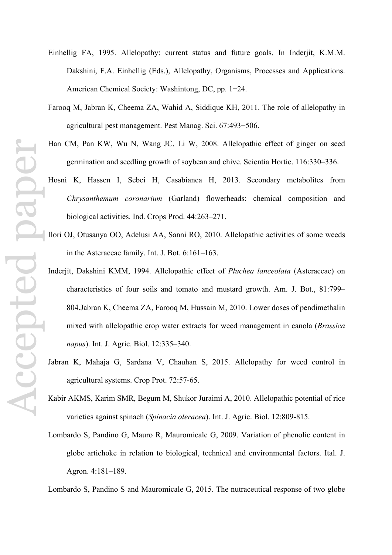- Einhellig FA, 1995. Allelopathy: current status and future goals. In Inderjit, K.M.M. Dakshini, F.A. Einhellig (Eds.), Allelopathy, Organisms, Processes and Applications. American Chemical Society: Washintong, DC, pp. 1−24.
- Farooq M, Jabran K, Cheema ZA, Wahid A, Siddique KH, 2011. The role of allelopathy in agricultural pest management. Pest Manag. Sci. 67:493−506.
- Han CM, Pan KW, Wu N, Wang JC, Li W, 2008. Allelopathic effect of ginger on seed germination and seedling growth of soybean and chive. Scientia Hortic. 116:330–336.
- Hosni K, Hassen I, Sebei H, Casabianca H, 2013. Secondary metabolites from *Chrysanthemum coronarium* (Garland) flowerheads: chemical composition and biological activities. Ind. Crops Prod. 44:263–271.
- Ilori OJ, Otusanya OO, Adelusi AA, Sanni RO, 2010. Allelopathic activities of some weeds in the Asteraceae family. Int. J. Bot. 6:161–163.
- Inderjit, Dakshini KMM, 1994. Allelopathic effect of *Pluchea lanceolata* (Asteraceae) on characteristics of four soils and tomato and mustard growth. Am. J. Bot., 81:799– 804.Jabran K, Cheema ZA, Farooq M, Hussain M, 2010. Lower doses of pendimethalin mixed with allelopathic crop water extracts for weed management in canola (*Brassica napus*). Int. J. Agric. Biol. 12:335–340.
- Jabran K, Mahaja G, Sardana V, Chauhan S, 2015. Allelopathy for weed control in agricultural systems. Crop Prot. 72:57-65.
- Kabir AKMS, Karim SMR, Begum M, Shukor Juraimi A, 2010. Allelopathic potential of rice varieties against spinach (*Spinacia oleracea*). Int. J. Agric. Biol. 12:809-815.
- Lombardo S, Pandino G, Mauro R, Mauromicale G, 2009. Variation of phenolic content in globe artichoke in relation to biological, technical and environmental factors. Ital. J. Agron. 4:181–189.

Lombardo S, Pandino S and Mauromicale G, 2015. The nutraceutical response of two globe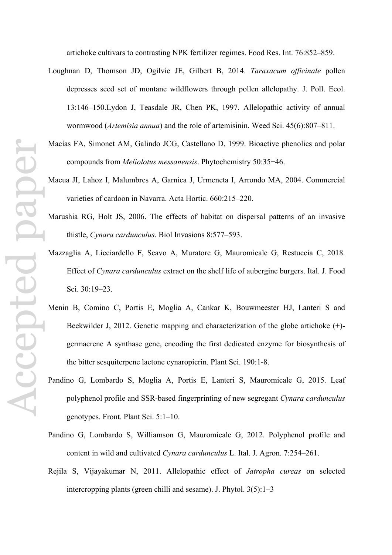artichoke cultivars to contrasting NPK fertilizer regimes. Food Res. Int. 76:852–859.

- Loughnan D, Thomson JD, Ogilvie JE, Gilbert B, 2014. *Taraxacum officinale* pollen depresses seed set of montane wildflowers through pollen allelopathy. J. Poll. Ecol. 13:146–150.Lydon J, Teasdale JR, Chen PK, 1997. Allelopathic activity of annual wormwood (*Artemisia annua*) and the role of artemisinin. Weed Sci. 45(6):807–811.
- Macías FA, Simonet AM, Galindo JCG, Castellano D, 1999. Bioactive phenolics and polar compounds from *Meliolotus messanensis*. Phytochemistry 50:35−46.
- Macua JI, Lahoz I, Malumbres A, Garnica J, Urmeneta I, Arrondo MA, 2004. Commercial varieties of cardoon in Navarra. Acta Hortic. 660:215–220.
- Marushia RG, Holt JS, 2006. The effects of habitat on dispersal patterns of an invasive thistle, *Cynara cardunculus*. Biol Invasions 8:577–593.
- Mazzaglia A, Licciardello F, Scavo A, Muratore G, Mauromicale G, Restuccia C, 2018. Effect of *Cynara cardunculus* extract on the shelf life of aubergine burgers. Ital. J. Food Sci. 30:19–23.
- Menin B, Comino C, Portis E, Moglia A, Cankar K, Bouwmeester HJ, Lanteri S and Beekwilder J, 2012. Genetic mapping and characterization of the globe artichoke (+) germacrene A synthase gene, encoding the first dedicated enzyme for biosynthesis of the bitter sesquiterpene lactone cynaropicrin. Plant Sci. 190:1-8.
- Pandino G, Lombardo S, Moglia A, Portis E, Lanteri S, Mauromicale G, 2015. Leaf polyphenol profile and SSR-based fingerprinting of new segregant *Cynara cardunculus* genotypes. Front. Plant Sci. 5:1–10.
- Pandino G, Lombardo S, Williamson G, Mauromicale G, 2012. Polyphenol profile and content in wild and cultivated *Cynara cardunculus* L. Ital. J. Agron. 7:254–261.
- Rejila S, Vijayakumar N, 2011. Allelopathic effect of *Jatropha curcas* on selected intercropping plants (green chilli and sesame). J. Phytol. 3(5):1–3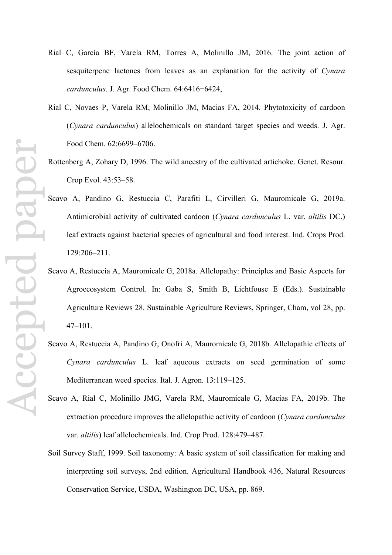- Rial C, García BF, Varela RM, Torres A, Molinillo JM, 2016. The joint action of sesquiterpene lactones from leaves as an explanation for the activity of *Cynara cardunculus*. J. Agr. Food Chem. 64:6416−6424,
- Rial C, Novaes P, Varela RM, Molinillo JM, Macias FA, 2014. Phytotoxicity of cardoon (*Cynara cardunculus*) allelochemicals on standard target species and weeds. J. Agr. Food Chem. 62:6699–6706.
- Rottenberg A, Zohary D, 1996. The wild ancestry of the cultivated artichoke. Genet. Resour. Crop Evol. 43:53–58.
- Scavo A, Pandino G, Restuccia C, Parafiti L, Cirvilleri G, Mauromicale G, 2019a. Antimicrobial activity of cultivated cardoon (*Cynara cardunculus* L. var. *altilis* DC.) leaf extracts against bacterial species of agricultural and food interest. Ind. Crops Prod. 129:206–211.
- Scavo A, Restuccia A, Mauromicale G, 2018a. Allelopathy: Principles and Basic Aspects for Agroecosystem Control. In: Gaba S, Smith B, Lichtfouse E (Eds.). Sustainable Agriculture Reviews 28. Sustainable Agriculture Reviews, Springer, Cham, vol 28, pp. 47–101.
- Scavo A, Restuccia A, Pandino G, Onofri A, Mauromicale G, 2018b. Allelopathic effects of *Cynara cardunculus* L. leaf aqueous extracts on seed germination of some Mediterranean weed species. Ital. J. Agron. 13:119–125.
- Scavo A, Rial C, Molinillo JMG, Varela RM, Mauromicale G, Macías FA, 2019b. The extraction procedure improves the allelopathic activity of cardoon (*Cynara cardunculus* var. *altilis*) leaf allelochemicals. Ind. Crop Prod. 128:479–487.
- Soil Survey Staff, 1999. Soil taxonomy: A basic system of soil classification for making and interpreting soil surveys, 2nd edition. Agricultural Handbook 436, Natural Resources Conservation Service, USDA, Washington DC, USA, pp. 869.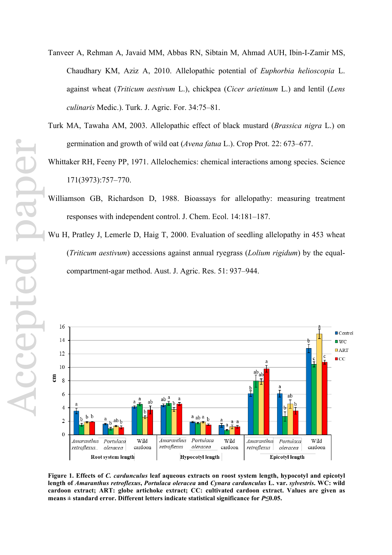- Accepted paperI Pacepte
- Tanveer A, Rehman A, Javaid MM, Abbas RN, Sibtain M, Ahmad AUH, Ibin-I-Zamir MS, Chaudhary KM, Aziz A, 2010. Allelopathic potential of *Euphorbia helioscopia* L. against wheat (*Triticum aestivum* L.), chickpea (*Cicer arietinum* L.) and lentil (*Lens culinaris* Medic.). Turk. J. Agric. For. 34:75–81.
- Turk MA, Tawaha AM, 2003. Allelopathic effect of black mustard (*Brassica nigra* L.) on germination and growth of wild oat (*Avena fatua* L.). Crop Prot. 22: 673–677.
- Whittaker RH, Feeny PP, 1971. Allelochemics: chemical interactions among species. Science 171(3973):757–770.
- Williamson GB, Richardson D, 1988. Bioassays for allelopathy: measuring treatment responses with independent control. J. Chem. Ecol. 14:181–187.
- Wu H, Pratley J, Lemerle D, Haig T, 2000. Evaluation of seedling allelopathy in 453 wheat (*Triticum aestivum*) accessions against annual ryegrass (*Lolium rigidum*) by the equalcompartment-agar method. Aust. J. Agric. Res. 51: 937–944.



**Figure 1. Effects of** *C. cardunculus* **leaf aqueous extracts on roost system length, hypocotyl and epicotyl length of** *Amaranthus retroflexus***,** *Portulaca oleracea* **and** *Cynara cardunculus* **L. var.** *sylvestris***. WC: wild cardoon extract; ART: globe artichoke extract; CC: cultivated cardoon extract. Values are given as means ± standard error. Different letters indicate statistical significance for** *P***≤0.05.**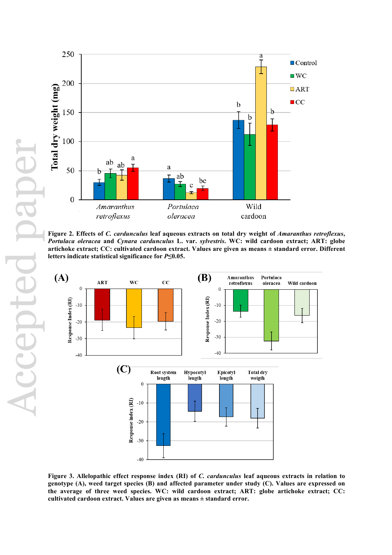



Figure 2. Effects of *C. cardunculus* leaf aqueous extracts on total dry weight of *Amaranthus retroflexus*, *Portulaca oleracea* **and** *Cynara cardunculus* **L. var.** *sylvestris***. WC: wild cardoon extract; ART: globe artichoke extract; CC: cultivated cardoon extract. Values are given as means ± standard error. Different letters indicate statistical significance for** *P***≤0.05.**



**Figure 3. Allelopathic effect response index (RI) of** *C. cardunculus* **leaf aqueous extracts in relation to genotype (A), weed target species (B) and affected parameter under study (C). Values are expressed on the average of three weed species. WC: wild cardoon extract; ART: globe artichoke extract; CC: cultivated cardoon extract. Values are given as means ± standard error.**